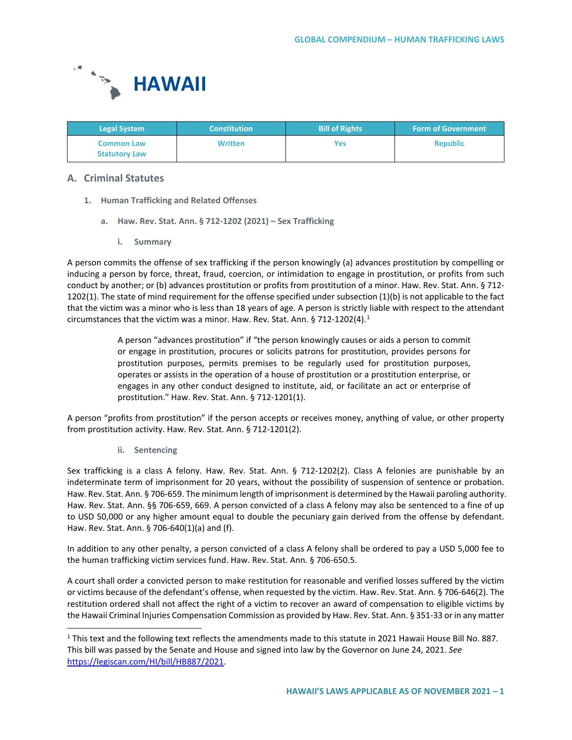

| <b>Legal System</b>                       | <b>Constitution</b> | <b>Bill of Rights</b> | <b>Form of Government</b> |
|-------------------------------------------|---------------------|-----------------------|---------------------------|
| <b>Common Law</b><br><b>Statutory Law</b> | <b>Written</b>      | Yes                   | <b>Republic</b>           |

# **A. Criminal Statutes**

- **1. Human Trafficking and Related Offenses**
	- **a. Haw. Rev. Stat. Ann. § 712-1202 (2021) – Sex Trafficking**
		- **i. Summary**

A person commits the offense of sex trafficking if the person knowingly (a) advances prostitution by compelling or inducing a person by force, threat, fraud, coercion, or intimidation to engage in prostitution, or profits from such conduct by another; or (b) advances prostitution or profits from prostitution of a minor. Haw. Rev. Stat. Ann. § 712- 1202(1). The state of mind requirement for the offense specified under subsection (1)(b) is not applicable to the fact that the victim was a minor who is less than 18 years of age. A person is strictly liable with respect to the attendant circumstances that the victim was a minor. Haw. Rev. Stat. Ann. § 7[1](#page-0-0)2-1202(4).<sup>1</sup>

> A person "advances prostitution" if "the person knowingly causes or aids a person to commit or engage in prostitution, procures or solicits patrons for prostitution, provides persons for prostitution purposes, permits premises to be regularly used for prostitution purposes, operates or assists in the operation of a house of prostitution or a prostitution enterprise, or engages in any other conduct designed to institute, aid, or facilitate an act or enterprise of prostitution." Haw. Rev. Stat. Ann. § 712-1201(1).

A person "profits from prostitution" if the person accepts or receives money, anything of value, or other property from prostitution activity. Haw. Rev. Stat. Ann. § 712-1201(2).

**ii. Sentencing**

Sex trafficking is a class A felony. Haw. Rev. Stat. Ann. § 712-1202(2). Class A felonies are punishable by an indeterminate term of imprisonment for 20 years, without the possibility of suspension of sentence or probation. Haw. Rev. Stat. Ann. § 706-659. The minimum length of imprisonment is determined by the Hawaii paroling authority. Haw. Rev. Stat. Ann. §§ 706-659, 669. A person convicted of a class A felony may also be sentenced to a fine of up to USD 50,000 or any higher amount equal to double the pecuniary gain derived from the offense by defendant. Haw. Rev. Stat. Ann. § 706-640(1)(a) and (f).

In addition to any other penalty, a person convicted of a class A felony shall be ordered to pay a USD 5,000 fee to the human trafficking victim services fund. Haw. Rev. Stat. Ann. § 706-650.5.

A court shall order a convicted person to make restitution for reasonable and verified losses suffered by the victim or victims because of the defendant's offense, when requested by the victim. Haw. Rev. Stat. Ann. § 706-646(2). The restitution ordered shall not affect the right of a victim to recover an award of compensation to eligible victims by the Hawaii Criminal Injuries Compensation Commission as provided by Haw. Rev. Stat. Ann. § 351-33 or in any matter

<span id="page-0-0"></span> <sup>1</sup> This text and the following text reflects the amendments made to this statute in 2021 Hawaii House Bill No. 887. This bill was passed by the Senate and House and signed into law by the Governor on June 24, 2021. *See* [https://legiscan.com/HI/bill/HB887/2021.](https://legiscan.com/HI/bill/HB887/2021)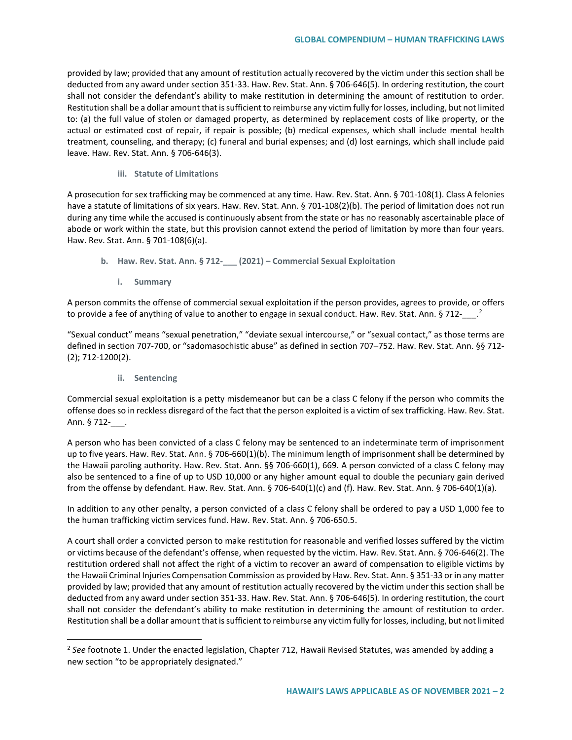provided by law; provided that any amount of restitution actually recovered by the victim under this section shall be deducted from any award under section 351-33. Haw. Rev. Stat. Ann. § 706-646(5). In ordering restitution, the court shall not consider the defendant's ability to make restitution in determining the amount of restitution to order. Restitution shall be a dollar amount that is sufficient to reimburse any victim fully for losses, including, but not limited to: (a) the full value of stolen or damaged property, as determined by replacement costs of like property, or the actual or estimated cost of repair, if repair is possible; (b) medical expenses, which shall include mental health treatment, counseling, and therapy; (c) funeral and burial expenses; and (d) lost earnings, which shall include paid leave. Haw. Rev. Stat. Ann. § 706-646(3).

# **iii. Statute of Limitations**

A prosecution for sex trafficking may be commenced at any time. Haw. Rev. Stat. Ann. § 701-108(1). Class A felonies have a statute of limitations of six years. Haw. Rev. Stat. Ann. § 701-108(2)(b). The period of limitation does not run during any time while the accused is continuously absent from the state or has no reasonably ascertainable place of abode or work within the state, but this provision cannot extend the period of limitation by more than four years. Haw. Rev. Stat. Ann. § 701-108(6)(a).

- **b. Haw. Rev. Stat. Ann. § 712-\_\_\_ (2021) – Commercial Sexual Exploitation**
	- **i. Summary**

A person commits the offense of commercial sexual exploitation if the person provides, agrees to provide, or offers to provide a fee of anything of value to another to engage in sexual conduct. Haw. Rev. Stat. Ann. § 71[2](#page-1-0)- $\cdot$ .

"Sexual conduct" means "sexual penetration," "deviate sexual intercourse," or "sexual contact," as those terms are defined in section 707-700, or "sadomasochistic abuse" as defined in section 707–752. Haw. Rev. Stat. Ann. §§ 712- (2); 712-1200(2).

**ii. Sentencing**

Commercial sexual exploitation is a petty misdemeanor but can be a class C felony if the person who commits the offense does so in reckless disregard of the fact that the person exploited is a victim of sex trafficking. Haw. Rev. Stat. Ann. § 712- .

A person who has been convicted of a class C felony may be sentenced to an indeterminate term of imprisonment up to five years. Haw. Rev. Stat. Ann. § 706-660(1)(b). The minimum length of imprisonment shall be determined by the Hawaii paroling authority. Haw. Rev. Stat. Ann. §§ 706-660(1), 669. A person convicted of a class C felony may also be sentenced to a fine of up to USD 10,000 or any higher amount equal to double the pecuniary gain derived from the offense by defendant. Haw. Rev. Stat. Ann. § 706-640(1)(c) and (f). Haw. Rev. Stat. Ann. § 706-640(1)(a).

In addition to any other penalty, a person convicted of a class C felony shall be ordered to pay a USD 1,000 fee to the human trafficking victim services fund. Haw. Rev. Stat. Ann. § 706-650.5.

A court shall order a convicted person to make restitution for reasonable and verified losses suffered by the victim or victims because of the defendant's offense, when requested by the victim. Haw. Rev. Stat. Ann. § 706-646(2). The restitution ordered shall not affect the right of a victim to recover an award of compensation to eligible victims by the Hawaii Criminal Injuries Compensation Commission as provided by Haw. Rev. Stat. Ann. § 351-33 or in any matter provided by law; provided that any amount of restitution actually recovered by the victim under this section shall be deducted from any award under section 351-33. Haw. Rev. Stat. Ann. § 706-646(5). In ordering restitution, the court shall not consider the defendant's ability to make restitution in determining the amount of restitution to order. Restitution shall be a dollar amount that is sufficient to reimburse any victim fully for losses, including, but not limited

<span id="page-1-0"></span><sup>&</sup>lt;sup>2</sup> See footnote 1. Under the enacted legislation, Chapter 712, Hawaii Revised Statutes, was amended by adding a new section "to be appropriately designated."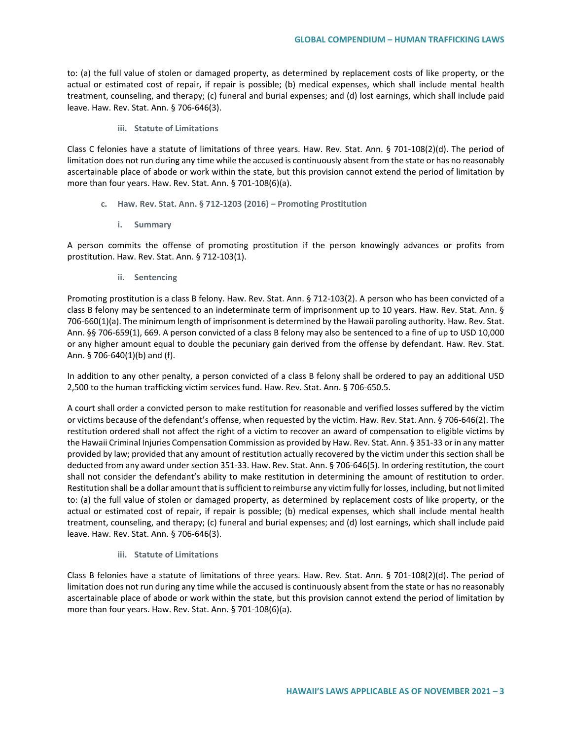to: (a) the full value of stolen or damaged property, as determined by replacement costs of like property, or the actual or estimated cost of repair, if repair is possible; (b) medical expenses, which shall include mental health treatment, counseling, and therapy; (c) funeral and burial expenses; and (d) lost earnings, which shall include paid leave. Haw. Rev. Stat. Ann. § 706-646(3).

#### **iii. Statute of Limitations**

Class C felonies have a statute of limitations of three years. Haw. Rev. Stat. Ann. § 701-108(2)(d). The period of limitation does not run during any time while the accused is continuously absent from the state or has no reasonably ascertainable place of abode or work within the state, but this provision cannot extend the period of limitation by more than four years. Haw. Rev. Stat. Ann. § 701-108(6)(a).

- **c. Haw. Rev. Stat. Ann. § 712-1203 (2016) – Promoting Prostitution**
	- **i. Summary**

A person commits the offense of promoting prostitution if the person knowingly advances or profits from prostitution. Haw. Rev. Stat. Ann. § 712-103(1).

**ii. Sentencing**

Promoting prostitution is a class B felony. Haw. Rev. Stat. Ann. § 712-103(2). A person who has been convicted of a class B felony may be sentenced to an indeterminate term of imprisonment up to 10 years. Haw. Rev. Stat. Ann. § 706-660(1)(a). The minimum length of imprisonment is determined by the Hawaii paroling authority. Haw. Rev. Stat. Ann. §§ 706-659(1), 669. A person convicted of a class B felony may also be sentenced to a fine of up to USD 10,000 or any higher amount equal to double the pecuniary gain derived from the offense by defendant. Haw. Rev. Stat. Ann. § 706-640(1)(b) and (f).

In addition to any other penalty, a person convicted of a class B felony shall be ordered to pay an additional USD 2,500 to the human trafficking victim services fund. Haw. Rev. Stat. Ann. § 706-650.5.

A court shall order a convicted person to make restitution for reasonable and verified losses suffered by the victim or victims because of the defendant's offense, when requested by the victim. Haw. Rev. Stat. Ann. § 706-646(2). The restitution ordered shall not affect the right of a victim to recover an award of compensation to eligible victims by the Hawaii Criminal Injuries Compensation Commission as provided by Haw. Rev. Stat. Ann. § 351-33 or in any matter provided by law; provided that any amount of restitution actually recovered by the victim under this section shall be deducted from any award under section 351-33. Haw. Rev. Stat. Ann. § 706-646(5). In ordering restitution, the court shall not consider the defendant's ability to make restitution in determining the amount of restitution to order. Restitution shall be a dollar amount that is sufficient to reimburse any victim fully for losses, including, but not limited to: (a) the full value of stolen or damaged property, as determined by replacement costs of like property, or the actual or estimated cost of repair, if repair is possible; (b) medical expenses, which shall include mental health treatment, counseling, and therapy; (c) funeral and burial expenses; and (d) lost earnings, which shall include paid leave. Haw. Rev. Stat. Ann. § 706-646(3).

## **iii. Statute of Limitations**

Class B felonies have a statute of limitations of three years. Haw. Rev. Stat. Ann. § 701-108(2)(d). The period of limitation does not run during any time while the accused is continuously absent from the state or has no reasonably ascertainable place of abode or work within the state, but this provision cannot extend the period of limitation by more than four years. Haw. Rev. Stat. Ann. § 701-108(6)(a).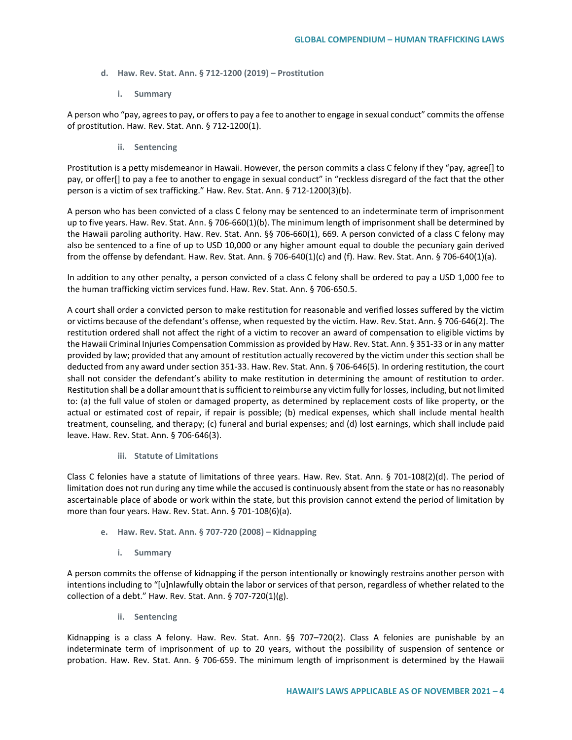- **d. Haw. Rev. Stat. Ann. § 712-1200 (2019) – Prostitution**
	- **i. Summary**

A person who "pay, agrees to pay, or offers to pay a fee to another to engage in sexual conduct" commits the offense of prostitution. Haw. Rev. Stat. Ann. § 712-1200(1).

**ii. Sentencing**

Prostitution is a petty misdemeanor in Hawaii. However, the person commits a class C felony if they "pay, agree[] to pay, or offer[] to pay a fee to another to engage in sexual conduct" in "reckless disregard of the fact that the other person is a victim of sex trafficking." Haw. Rev. Stat. Ann. § 712-1200(3)(b).

A person who has been convicted of a class C felony may be sentenced to an indeterminate term of imprisonment up to five years. Haw. Rev. Stat. Ann. § 706-660(1)(b). The minimum length of imprisonment shall be determined by the Hawaii paroling authority. Haw. Rev. Stat. Ann. §§ 706-660(1), 669. A person convicted of a class C felony may also be sentenced to a fine of up to USD 10,000 or any higher amount equal to double the pecuniary gain derived from the offense by defendant. Haw. Rev. Stat. Ann. § 706-640(1)(c) and (f). Haw. Rev. Stat. Ann. § 706-640(1)(a).

In addition to any other penalty, a person convicted of a class C felony shall be ordered to pay a USD 1,000 fee to the human trafficking victim services fund. Haw. Rev. Stat. Ann. § 706-650.5.

A court shall order a convicted person to make restitution for reasonable and verified losses suffered by the victim or victims because of the defendant's offense, when requested by the victim. Haw. Rev. Stat. Ann. § 706-646(2). The restitution ordered shall not affect the right of a victim to recover an award of compensation to eligible victims by the Hawaii Criminal Injuries Compensation Commission as provided by Haw. Rev. Stat. Ann. § 351-33 or in any matter provided by law; provided that any amount of restitution actually recovered by the victim under this section shall be deducted from any award under section 351-33. Haw. Rev. Stat. Ann. § 706-646(5). In ordering restitution, the court shall not consider the defendant's ability to make restitution in determining the amount of restitution to order. Restitution shall be a dollar amount that is sufficient to reimburse any victim fully for losses, including, but not limited to: (a) the full value of stolen or damaged property, as determined by replacement costs of like property, or the actual or estimated cost of repair, if repair is possible; (b) medical expenses, which shall include mental health treatment, counseling, and therapy; (c) funeral and burial expenses; and (d) lost earnings, which shall include paid leave. Haw. Rev. Stat. Ann. § 706-646(3).

## **iii. Statute of Limitations**

Class C felonies have a statute of limitations of three years. Haw. Rev. Stat. Ann. § 701-108(2)(d). The period of limitation does not run during any time while the accused is continuously absent from the state or has no reasonably ascertainable place of abode or work within the state, but this provision cannot extend the period of limitation by more than four years. Haw. Rev. Stat. Ann. § 701-108(6)(a).

- **e. Haw. Rev. Stat. Ann. § 707-720 (2008) – Kidnapping**
	- **i. Summary**

A person commits the offense of kidnapping if the person intentionally or knowingly restrains another person with intentions including to "[u]nlawfully obtain the labor or services of that person, regardless of whether related to the collection of a debt." Haw. Rev. Stat. Ann. § 707-720(1)(g).

**ii. Sentencing**

Kidnapping is a class A felony. Haw. Rev. Stat. Ann. §§ 707–720(2). Class A felonies are punishable by an indeterminate term of imprisonment of up to 20 years, without the possibility of suspension of sentence or probation. Haw. Rev. Stat. Ann. § 706-659. The minimum length of imprisonment is determined by the Hawaii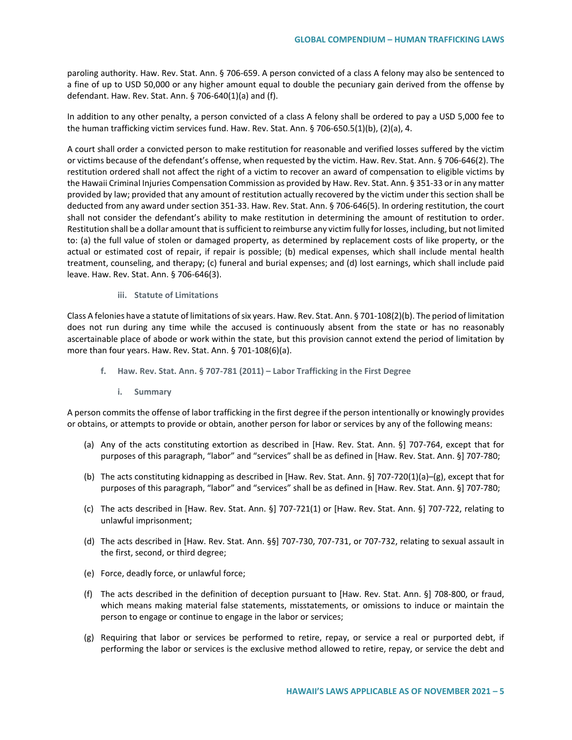paroling authority. Haw. Rev. Stat. Ann. § 706-659. A person convicted of a class A felony may also be sentenced to a fine of up to USD 50,000 or any higher amount equal to double the pecuniary gain derived from the offense by defendant. Haw. Rev. Stat. Ann. § 706-640(1)(a) and (f).

In addition to any other penalty, a person convicted of a class A felony shall be ordered to pay a USD 5,000 fee to the human trafficking victim services fund. Haw. Rev. Stat. Ann. § 706-650.5(1)(b), (2)(a), 4.

A court shall order a convicted person to make restitution for reasonable and verified losses suffered by the victim or victims because of the defendant's offense, when requested by the victim. Haw. Rev. Stat. Ann. § 706-646(2). The restitution ordered shall not affect the right of a victim to recover an award of compensation to eligible victims by the Hawaii Criminal Injuries Compensation Commission as provided by Haw. Rev. Stat. Ann. § 351-33 or in any matter provided by law; provided that any amount of restitution actually recovered by the victim under this section shall be deducted from any award under section 351-33. Haw. Rev. Stat. Ann. § 706-646(5). In ordering restitution, the court shall not consider the defendant's ability to make restitution in determining the amount of restitution to order. Restitution shall be a dollar amount that is sufficient to reimburse any victim fully for losses, including, but not limited to: (a) the full value of stolen or damaged property, as determined by replacement costs of like property, or the actual or estimated cost of repair, if repair is possible; (b) medical expenses, which shall include mental health treatment, counseling, and therapy; (c) funeral and burial expenses; and (d) lost earnings, which shall include paid leave. Haw. Rev. Stat. Ann. § 706-646(3).

#### **iii. Statute of Limitations**

Class A felonies have a statute of limitations of six years. Haw. Rev. Stat. Ann. § 701-108(2)(b). The period of limitation does not run during any time while the accused is continuously absent from the state or has no reasonably ascertainable place of abode or work within the state, but this provision cannot extend the period of limitation by more than four years. Haw. Rev. Stat. Ann. § 701-108(6)(a).

- **f. Haw. Rev. Stat. Ann. § 707-781 (2011) – Labor Trafficking in the First Degree**
	- **i. Summary**

A person commits the offense of labor trafficking in the first degree if the person intentionally or knowingly provides or obtains, or attempts to provide or obtain, another person for labor or services by any of the following means:

- (a) Any of the acts constituting extortion as described in [Haw. Rev. Stat. Ann. §] 707-764, except that for purposes of this paragraph, "labor" and "services" shall be as defined in [Haw. Rev. Stat. Ann. §] 707-780;
- (b) The acts constituting kidnapping as described in [Haw. Rev. Stat. Ann. §] 707-720(1)(a)–(g), except that for purposes of this paragraph, "labor" and "services" shall be as defined in [Haw. Rev. Stat. Ann. §] 707-780;
- (c) The acts described in [Haw. Rev. Stat. Ann. §] 707-721(1) or [Haw. Rev. Stat. Ann. §] 707-722, relating to unlawful imprisonment;
- (d) The acts described in [Haw. Rev. Stat. Ann. §§] 707-730, 707-731, or 707-732, relating to sexual assault in the first, second, or third degree;
- (e) Force, deadly force, or unlawful force;
- (f) The acts described in the definition of deception pursuant to [Haw. Rev. Stat. Ann. §] 708-800, or fraud, which means making material false statements, misstatements, or omissions to induce or maintain the person to engage or continue to engage in the labor or services;
- (g) Requiring that labor or services be performed to retire, repay, or service a real or purported debt, if performing the labor or services is the exclusive method allowed to retire, repay, or service the debt and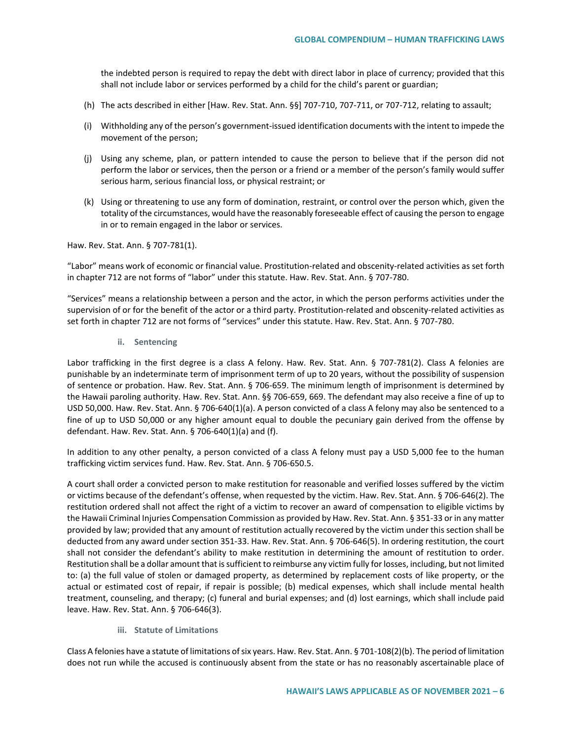the indebted person is required to repay the debt with direct labor in place of currency; provided that this shall not include labor or services performed by a child for the child's parent or guardian;

- (h) The acts described in either [Haw. Rev. Stat. Ann. §§] 707-710, 707-711, or 707-712, relating to assault;
- (i) Withholding any of the person's government-issued identification documents with the intent to impede the movement of the person;
- (j) Using any scheme, plan, or pattern intended to cause the person to believe that if the person did not perform the labor or services, then the person or a friend or a member of the person's family would suffer serious harm, serious financial loss, or physical restraint; or
- (k) Using or threatening to use any form of domination, restraint, or control over the person which, given the totality of the circumstances, would have the reasonably foreseeable effect of causing the person to engage in or to remain engaged in the labor or services.

Haw. Rev. Stat. Ann. § 707-781(1).

"Labor" means work of economic or financial value. Prostitution-related and obscenity-related activities as set forth in chapter 712 are not forms of "labor" under this statute. Haw. Rev. Stat. Ann. § 707-780.

"Services" means a relationship between a person and the actor, in which the person performs activities under the supervision of or for the benefit of the actor or a third party. Prostitution-related and obscenity-related activities as set forth in chapter 712 are not forms of "services" under this statute. Haw. Rev. Stat. Ann. § 707-780.

**ii. Sentencing**

Labor trafficking in the first degree is a class A felony. Haw. Rev. Stat. Ann. § 707-781(2). Class A felonies are punishable by an indeterminate term of imprisonment term of up to 20 years, without the possibility of suspension of sentence or probation. Haw. Rev. Stat. Ann. § 706-659. The minimum length of imprisonment is determined by the Hawaii paroling authority. Haw. Rev. Stat. Ann. §§ 706-659, 669. The defendant may also receive a fine of up to USD 50,000. Haw. Rev. Stat. Ann. § 706-640(1)(a). A person convicted of a class A felony may also be sentenced to a fine of up to USD 50,000 or any higher amount equal to double the pecuniary gain derived from the offense by defendant. Haw. Rev. Stat. Ann. § 706-640(1)(a) and (f).

In addition to any other penalty, a person convicted of a class A felony must pay a USD 5,000 fee to the human trafficking victim services fund. Haw. Rev. Stat. Ann. § 706-650.5.

A court shall order a convicted person to make restitution for reasonable and verified losses suffered by the victim or victims because of the defendant's offense, when requested by the victim. Haw. Rev. Stat. Ann. § 706-646(2). The restitution ordered shall not affect the right of a victim to recover an award of compensation to eligible victims by the Hawaii Criminal Injuries Compensation Commission as provided by Haw. Rev. Stat. Ann. § 351-33 or in any matter provided by law; provided that any amount of restitution actually recovered by the victim under this section shall be deducted from any award under section 351-33. Haw. Rev. Stat. Ann. § 706-646(5). In ordering restitution, the court shall not consider the defendant's ability to make restitution in determining the amount of restitution to order. Restitution shall be a dollar amount that is sufficient to reimburse any victim fully for losses, including, but not limited to: (a) the full value of stolen or damaged property, as determined by replacement costs of like property, or the actual or estimated cost of repair, if repair is possible; (b) medical expenses, which shall include mental health treatment, counseling, and therapy; (c) funeral and burial expenses; and (d) lost earnings, which shall include paid leave. Haw. Rev. Stat. Ann. § 706-646(3).

**iii. Statute of Limitations**

Class A felonies have a statute of limitations of six years. Haw. Rev. Stat. Ann. § 701-108(2)(b). The period of limitation does not run while the accused is continuously absent from the state or has no reasonably ascertainable place of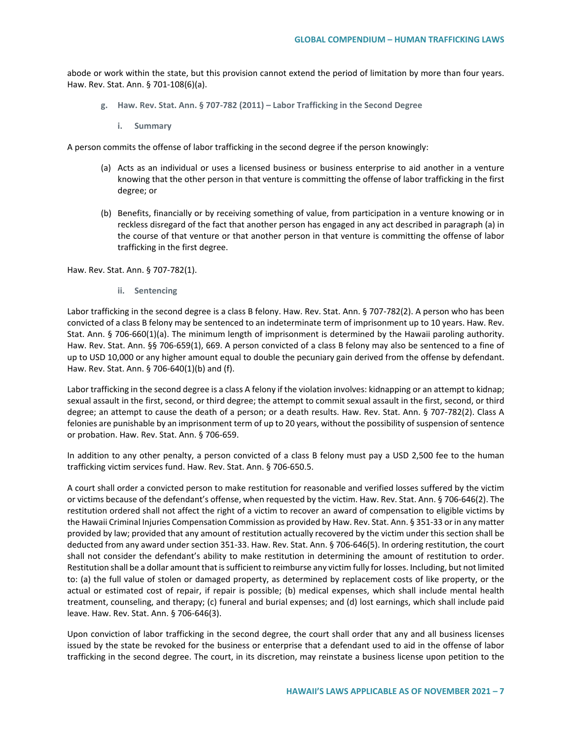abode or work within the state, but this provision cannot extend the period of limitation by more than four years. Haw. Rev. Stat. Ann. § 701-108(6)(a).

- **g. Haw. Rev. Stat. Ann. § 707-782 (2011) – Labor Trafficking in the Second Degree**
	- **i. Summary**

A person commits the offense of labor trafficking in the second degree if the person knowingly:

- (a) Acts as an individual or uses a licensed business or business enterprise to aid another in a venture knowing that the other person in that venture is committing the offense of labor trafficking in the first degree; or
- (b) Benefits, financially or by receiving something of value, from participation in a venture knowing or in reckless disregard of the fact that another person has engaged in any act described in paragraph (a) in the course of that venture or that another person in that venture is committing the offense of labor trafficking in the first degree.

Haw. Rev. Stat. Ann. § 707-782(1).

**ii. Sentencing**

Labor trafficking in the second degree is a class B felony. Haw. Rev. Stat. Ann. § 707-782(2). A person who has been convicted of a class B felony may be sentenced to an indeterminate term of imprisonment up to 10 years. Haw. Rev. Stat. Ann. § 706-660(1)(a). The minimum length of imprisonment is determined by the Hawaii paroling authority. Haw. Rev. Stat. Ann. §§ 706-659(1), 669. A person convicted of a class B felony may also be sentenced to a fine of up to USD 10,000 or any higher amount equal to double the pecuniary gain derived from the offense by defendant. Haw. Rev. Stat. Ann. § 706-640(1)(b) and (f).

Labor trafficking in the second degree is a class A felony if the violation involves: kidnapping or an attempt to kidnap; sexual assault in the first, second, or third degree; the attempt to commit sexual assault in the first, second, or third degree; an attempt to cause the death of a person; or a death results. Haw. Rev. Stat. Ann. § 707-782(2). Class A felonies are punishable by an imprisonment term of up to 20 years, without the possibility of suspension of sentence or probation. Haw. Rev. Stat. Ann. § 706-659.

In addition to any other penalty, a person convicted of a class B felony must pay a USD 2,500 fee to the human trafficking victim services fund. Haw. Rev. Stat. Ann. § 706-650.5.

A court shall order a convicted person to make restitution for reasonable and verified losses suffered by the victim or victims because of the defendant's offense, when requested by the victim. Haw. Rev. Stat. Ann. § 706-646(2). The restitution ordered shall not affect the right of a victim to recover an award of compensation to eligible victims by the Hawaii Criminal Injuries Compensation Commission as provided by Haw. Rev. Stat. Ann. § 351-33 or in any matter provided by law; provided that any amount of restitution actually recovered by the victim under this section shall be deducted from any award under section 351-33. Haw. Rev. Stat. Ann. § 706-646(5). In ordering restitution, the court shall not consider the defendant's ability to make restitution in determining the amount of restitution to order. Restitution shall be a dollar amount that is sufficient to reimburse any victim fully for losses. Including, but not limited to: (a) the full value of stolen or damaged property, as determined by replacement costs of like property, or the actual or estimated cost of repair, if repair is possible; (b) medical expenses, which shall include mental health treatment, counseling, and therapy; (c) funeral and burial expenses; and (d) lost earnings, which shall include paid leave. Haw. Rev. Stat. Ann. § 706-646(3).

Upon conviction of labor trafficking in the second degree, the court shall order that any and all business licenses issued by the state be revoked for the business or enterprise that a defendant used to aid in the offense of labor trafficking in the second degree. The court, in its discretion, may reinstate a business license upon petition to the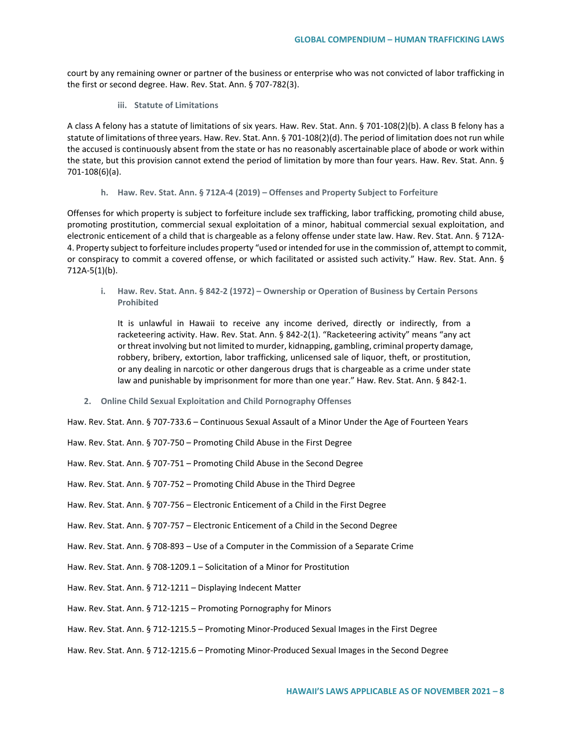court by any remaining owner or partner of the business or enterprise who was not convicted of labor trafficking in the first or second degree. Haw. Rev. Stat. Ann. § 707-782(3).

**iii. Statute of Limitations**

A class A felony has a statute of limitations of six years. Haw. Rev. Stat. Ann. § 701-108(2)(b). A class B felony has a statute of limitations of three years. Haw. Rev. Stat. Ann. § 701-108(2)(d). The period of limitation does not run while the accused is continuously absent from the state or has no reasonably ascertainable place of abode or work within the state, but this provision cannot extend the period of limitation by more than four years. Haw. Rev. Stat. Ann. § 701-108(6)(a).

**h. Haw. Rev. Stat. Ann. § 712A-4 (2019) – Offenses and Property Subject to Forfeiture**

Offenses for which property is subject to forfeiture include sex trafficking, labor trafficking, promoting child abuse, promoting prostitution, commercial sexual exploitation of a minor, habitual commercial sexual exploitation, and electronic enticement of a child that is chargeable as a felony offense under state law. Haw. Rev. Stat. Ann. § 712A-4. Property subject to forfeiture includes property "used or intended for use in the commission of, attempt to commit, or conspiracy to commit a covered offense, or which facilitated or assisted such activity." Haw. Rev. Stat. Ann. § 712A-5(1)(b).

**i. Haw. Rev. Stat. Ann. § 842-2 (1972) – Ownership or Operation of Business by Certain Persons Prohibited**

It is unlawful in Hawaii to receive any income derived, directly or indirectly, from a racketeering activity. Haw. Rev. Stat. Ann. § 842-2(1). "Racketeering activity" means "any act or threat involving but not limited to murder, kidnapping, gambling, criminal property damage, robbery, bribery, extortion, labor trafficking, unlicensed sale of liquor, theft, or prostitution, or any dealing in narcotic or other dangerous drugs that is chargeable as a crime under state law and punishable by imprisonment for more than one year." Haw. Rev. Stat. Ann. § 842-1.

**2. Online Child Sexual Exploitation and Child Pornography Offenses**

Haw. Rev. Stat. Ann. § 707-733.6 – Continuous Sexual Assault of a Minor Under the Age of Fourteen Years

| Haw. Rev. Stat. Ann. § 707-750 – Promoting Child Abuse in the First Degree                      |
|-------------------------------------------------------------------------------------------------|
| Haw. Rev. Stat. Ann. § 707-751 – Promoting Child Abuse in the Second Degree                     |
| Haw. Rev. Stat. Ann. § 707-752 – Promoting Child Abuse in the Third Degree                      |
| Haw. Rev. Stat. Ann. § 707-756 – Electronic Enticement of a Child in the First Degree           |
| Haw. Rev. Stat. Ann. § 707-757 – Electronic Enticement of a Child in the Second Degree          |
| Haw. Rev. Stat. Ann. § 708-893 – Use of a Computer in the Commission of a Separate Crime        |
| Haw. Rev. Stat. Ann. $\S$ 708-1209.1 – Solicitation of a Minor for Prostitution                 |
| Haw. Rev. Stat. Ann. § 712-1211 – Displaying Indecent Matter                                    |
| Haw. Rev. Stat. Ann. § 712-1215 – Promoting Pornography for Minors                              |
| Haw. Rev. Stat. Ann. § 712-1215.5 – Promoting Minor-Produced Sexual Images in the First Degree  |
| Haw. Rev. Stat. Ann. § 712-1215.6 - Promoting Minor-Produced Sexual Images in the Second Degree |
|                                                                                                 |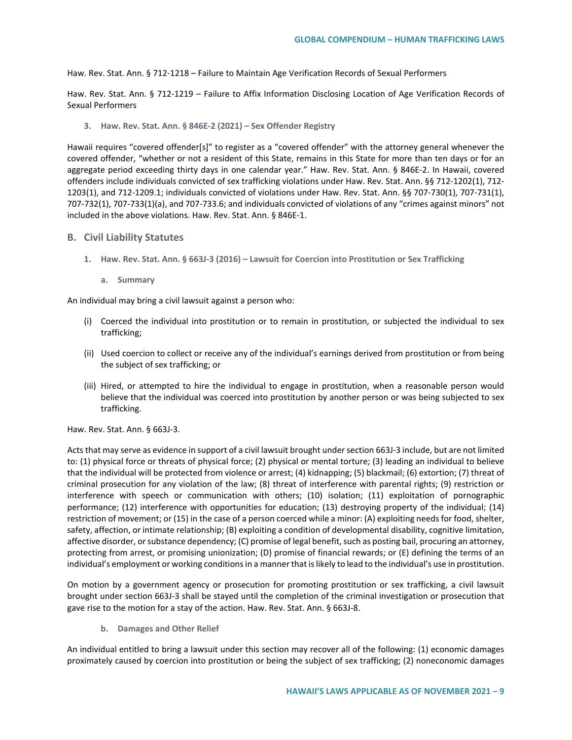Haw. Rev. Stat. Ann. § 712-1218 – Failure to Maintain Age Verification Records of Sexual Performers

Haw. Rev. Stat. Ann. § 712-1219 – Failure to Affix Information Disclosing Location of Age Verification Records of Sexual Performers

**3. Haw. Rev. Stat. Ann. § 846E-2 (2021) – Sex Offender Registry**

Hawaii requires "covered offender[s]" to register as a "covered offender" with the attorney general whenever the covered offender, "whether or not a resident of this State, remains in this State for more than ten days or for an aggregate period exceeding thirty days in one calendar year." Haw. Rev. Stat. Ann. § 846E-2. In Hawaii, covered offenders include individuals convicted of sex trafficking violations under Haw. Rev. Stat. Ann. §§ 712-1202(1), 712- 1203(1), and 712-1209.1; individuals convicted of violations under Haw. Rev. Stat. Ann. §§ 707-730(1), 707-731(1), 707-732(1), 707-733(1)(a), and 707-733.6; and individuals convicted of violations of any "crimes against minors" not included in the above violations. Haw. Rev. Stat. Ann. § 846E-1.

## **B. Civil Liability Statutes**

- **1. Haw. Rev. Stat. Ann. § 663J-3 (2016) – Lawsuit for Coercion into Prostitution or Sex Trafficking**
	- **a. Summary**

An individual may bring a civil lawsuit against a person who:

- (i) Coerced the individual into prostitution or to remain in prostitution, or subjected the individual to sex trafficking;
- (ii) Used coercion to collect or receive any of the individual's earnings derived from prostitution or from being the subject of sex trafficking; or
- (iii) Hired, or attempted to hire the individual to engage in prostitution, when a reasonable person would believe that the individual was coerced into prostitution by another person or was being subjected to sex trafficking.

Haw. Rev. Stat. Ann. § 663J-3.

Acts that may serve as evidence in support of a civil lawsuit brought under section 663J-3 include, but are not limited to: (1) physical force or threats of physical force; (2) physical or mental torture; (3) leading an individual to believe that the individual will be protected from violence or arrest; (4) kidnapping; (5) blackmail; (6) extortion; (7) threat of criminal prosecution for any violation of the law; (8) threat of interference with parental rights; (9) restriction or interference with speech or communication with others; (10) isolation; (11) exploitation of pornographic performance; (12) interference with opportunities for education; (13) destroying property of the individual; (14) restriction of movement; or (15) in the case of a person coerced while a minor: (A) exploiting needs for food, shelter, safety, affection, or intimate relationship; (B) exploiting a condition of developmental disability, cognitive limitation, affective disorder, or substance dependency; (C) promise of legal benefit, such as posting bail, procuring an attorney, protecting from arrest, or promising unionization; (D) promise of financial rewards; or (E) defining the terms of an individual's employment or working conditions in a manner that is likely to lead to the individual's use in prostitution.

On motion by a government agency or prosecution for promoting prostitution or sex trafficking, a civil lawsuit brought under section 663J-3 shall be stayed until the completion of the criminal investigation or prosecution that gave rise to the motion for a stay of the action. Haw. Rev. Stat. Ann. § 663J-8.

**b. Damages and Other Relief**

An individual entitled to bring a lawsuit under this section may recover all of the following: (1) economic damages proximately caused by coercion into prostitution or being the subject of sex trafficking; (2) noneconomic damages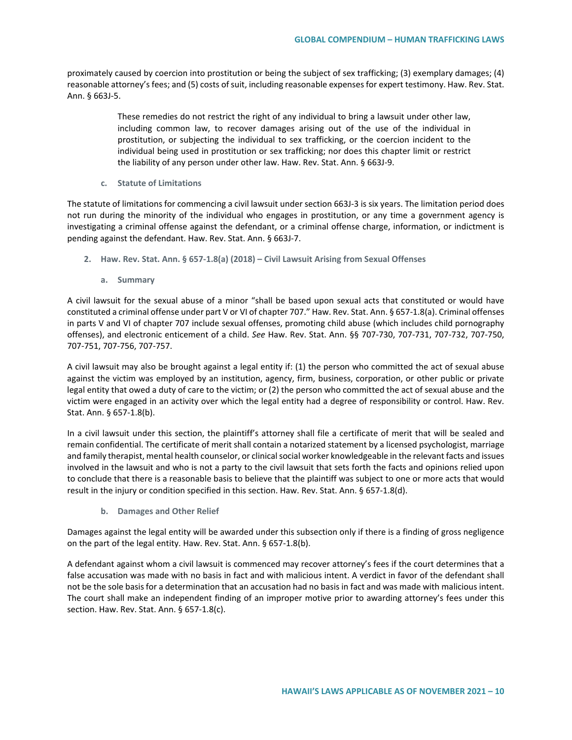proximately caused by coercion into prostitution or being the subject of sex trafficking; (3) exemplary damages; (4) reasonable attorney's fees; and (5) costs of suit, including reasonable expenses for expert testimony. Haw. Rev. Stat. Ann. § 663J-5.

> These remedies do not restrict the right of any individual to bring a lawsuit under other law, including common law, to recover damages arising out of the use of the individual in prostitution, or subjecting the individual to sex trafficking, or the coercion incident to the individual being used in prostitution or sex trafficking; nor does this chapter limit or restrict the liability of any person under other law. Haw. Rev. Stat. Ann. § 663J-9.

**c. Statute of Limitations**

The statute of limitations for commencing a civil lawsuit under section 663J-3 is six years. The limitation period does not run during the minority of the individual who engages in prostitution, or any time a government agency is investigating a criminal offense against the defendant, or a criminal offense charge, information, or indictment is pending against the defendant. Haw. Rev. Stat. Ann. § 663J-7.

- **2. Haw. Rev. Stat. Ann. § 657-1.8(a) (2018) – Civil Lawsuit Arising from Sexual Offenses** 
	- **a. Summary**

A civil lawsuit for the sexual abuse of a minor "shall be based upon sexual acts that constituted or would have constituted a criminal offense under part V or VI of chapter 707." Haw. Rev. Stat. Ann. § 657-1.8(a). Criminal offenses in parts V and VI of chapter 707 include sexual offenses, promoting child abuse (which includes child pornography offenses), and electronic enticement of a child. *See* Haw. Rev. Stat. Ann. §§ 707-730, 707-731, 707-732, 707-750, 707-751, 707-756, 707-757.

A civil lawsuit may also be brought against a legal entity if: (1) the person who committed the act of sexual abuse against the victim was employed by an institution, agency, firm, business, corporation, or other public or private legal entity that owed a duty of care to the victim; or (2) the person who committed the act of sexual abuse and the victim were engaged in an activity over which the legal entity had a degree of responsibility or control. Haw. Rev. Stat. Ann. § 657-1.8(b).

In a civil lawsuit under this section, the plaintiff's attorney shall file a certificate of merit that will be sealed and remain confidential. The certificate of merit shall contain a notarized statement by a licensed psychologist, marriage and family therapist, mental health counselor, or clinical social worker knowledgeable in the relevant facts and issues involved in the lawsuit and who is not a party to the civil lawsuit that sets forth the facts and opinions relied upon to conclude that there is a reasonable basis to believe that the plaintiff was subject to one or more acts that would result in the injury or condition specified in this section. Haw. Rev. Stat. Ann. § 657-1.8(d).

**b. Damages and Other Relief**

Damages against the legal entity will be awarded under this subsection only if there is a finding of gross negligence on the part of the legal entity. Haw. Rev. Stat. Ann. § 657-1.8(b).

A defendant against whom a civil lawsuit is commenced may recover attorney's fees if the court determines that a false accusation was made with no basis in fact and with malicious intent. A verdict in favor of the defendant shall not be the sole basis for a determination that an accusation had no basis in fact and was made with malicious intent. The court shall make an independent finding of an improper motive prior to awarding attorney's fees under this section. Haw. Rev. Stat. Ann. § 657-1.8(c).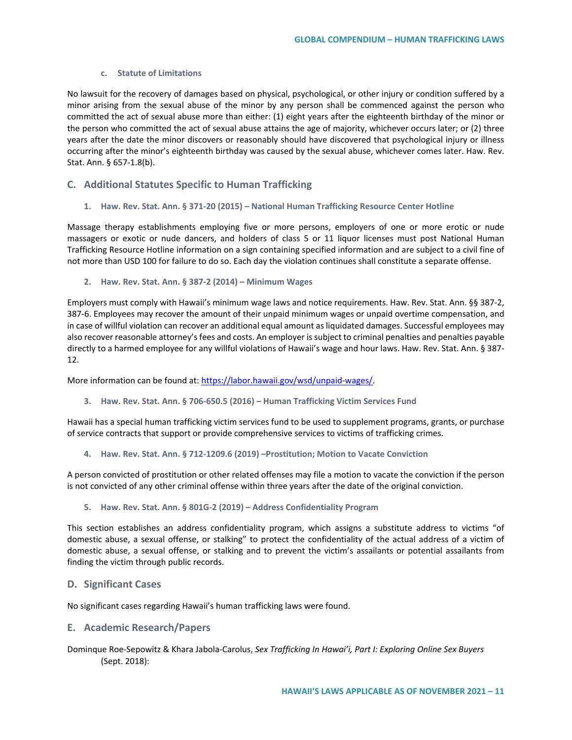#### **c. Statute of Limitations**

No lawsuit for the recovery of damages based on physical, psychological, or other injury or condition suffered by a minor arising from the sexual abuse of the minor by any person shall be commenced against the person who committed the act of sexual abuse more than either: (1) eight years after the eighteenth birthday of the minor or the person who committed the act of sexual abuse attains the age of majority, whichever occurs later; or (2) three years after the date the minor discovers or reasonably should have discovered that psychological injury or illness occurring after the minor's eighteenth birthday was caused by the sexual abuse, whichever comes later. Haw. Rev. Stat. Ann. § 657-1.8(b).

# **C. Additional Statutes Specific to Human Trafficking**

**1. Haw. Rev. Stat. Ann. § 371-20 (2015) – National Human Trafficking Resource Center Hotline**

Massage therapy establishments employing five or more persons, employers of one or more erotic or nude massagers or exotic or nude dancers, and holders of class 5 or 11 liquor licenses must post National Human Trafficking Resource Hotline information on a sign containing specified information and are subject to a civil fine of not more than USD 100 for failure to do so. Each day the violation continues shall constitute a separate offense.

**2. Haw. Rev. Stat. Ann. § 387-2 (2014) – Minimum Wages**

Employers must comply with Hawaii's minimum wage laws and notice requirements. Haw. Rev. Stat. Ann. §§ 387-2, 387-6. Employees may recover the amount of their unpaid minimum wages or unpaid overtime compensation, and in case of willful violation can recover an additional equal amount as liquidated damages. Successful employees may also recover reasonable attorney's fees and costs. An employer is subject to criminal penalties and penalties payable directly to a harmed employee for any willful violations of Hawaii's wage and hour laws. Haw. Rev. Stat. Ann. § 387- 12.

More information can be found at[: https://labor.hawaii.gov/wsd/unpaid-wages/.](https://labor.hawaii.gov/wsd/unpaid-wages/)

**3. Haw. Rev. Stat. Ann. § 706-650.5 (2016) – Human Trafficking Victim Services Fund**

Hawaii has a special human trafficking victim services fund to be used to supplement programs, grants, or purchase of service contracts that support or provide comprehensive services to victims of trafficking crimes.

**4. Haw. Rev. Stat. Ann. § 712-1209.6 (2019) –Prostitution; Motion to Vacate Conviction**

A person convicted of prostitution or other related offenses may file a motion to vacate the conviction if the person is not convicted of any other criminal offense within three years after the date of the original conviction.

**5. Haw. Rev. Stat. Ann. § 801G-2 (2019) – Address Confidentiality Program**

This section establishes an address confidentiality program, which assigns a substitute address to victims "of domestic abuse, a sexual offense, or stalking" to protect the confidentiality of the actual address of a victim of domestic abuse, a sexual offense, or stalking and to prevent the victim's assailants or potential assailants from finding the victim through public records.

## **D. Significant Cases**

No significant cases regarding Hawaii's human trafficking laws were found.

## **E. Academic Research/Papers**

Dominque Roe-Sepowitz & Khara Jabola-Carolus, *Sex Trafficking In Hawai'i, Part I: Exploring Online Sex Buyers* (Sept. 2018):